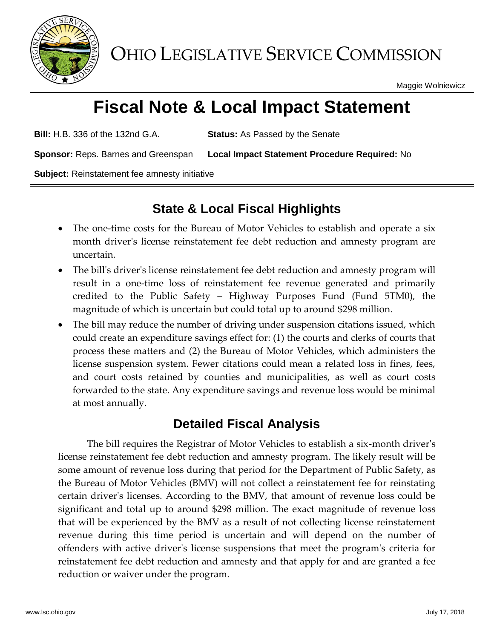

OHIO LEGISLATIVE SERVICE COMMISSION

Maggie Wolniewicz

# **Fiscal Note & Local Impact Statement**

**Bill:** H.B. 336 of the 132nd G.A. **Status:** As Passed by the Senate

**Sponsor:** Reps. Barnes and Greenspan **Local Impact Statement Procedure Required:** No

**Subject:** Reinstatement fee amnesty initiative

# **State & Local Fiscal Highlights**

- The one-time costs for the Bureau of Motor Vehicles to establish and operate a six month driver's license reinstatement fee debt reduction and amnesty program are uncertain.
- The bill's driver's license reinstatement fee debt reduction and amnesty program will result in a one-time loss of reinstatement fee revenue generated and primarily credited to the Public Safety – Highway Purposes Fund (Fund 5TM0), the magnitude of which is uncertain but could total up to around \$298 million.
- The bill may reduce the number of driving under suspension citations issued, which could create an expenditure savings effect for: (1) the courts and clerks of courts that process these matters and (2) the Bureau of Motor Vehicles, which administers the license suspension system. Fewer citations could mean a related loss in fines, fees, and court costs retained by counties and municipalities, as well as court costs forwarded to the state. Any expenditure savings and revenue loss would be minimal at most annually.

## **Detailed Fiscal Analysis**

The bill requires the Registrar of Motor Vehicles to establish a six-month driver's license reinstatement fee debt reduction and amnesty program. The likely result will be some amount of revenue loss during that period for the Department of Public Safety, as the Bureau of Motor Vehicles (BMV) will not collect a reinstatement fee for reinstating certain driver's licenses. According to the BMV, that amount of revenue loss could be significant and total up to around \$298 million. The exact magnitude of revenue loss that will be experienced by the BMV as a result of not collecting license reinstatement revenue during this time period is uncertain and will depend on the number of offenders with active driver's license suspensions that meet the program's criteria for reinstatement fee debt reduction and amnesty and that apply for and are granted a fee reduction or waiver under the program.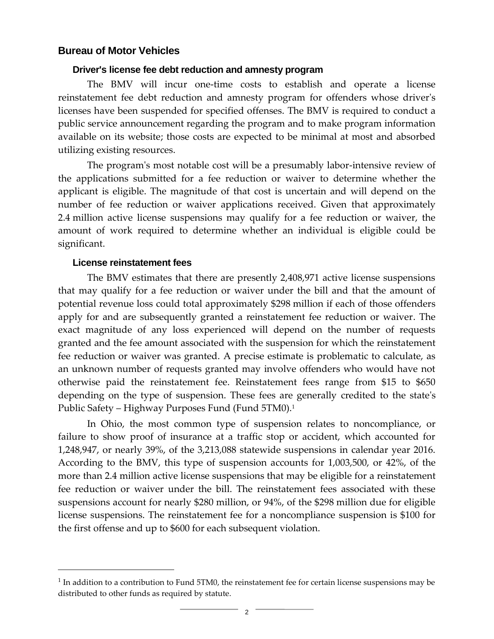### **Bureau of Motor Vehicles**

#### **Driver's license fee debt reduction and amnesty program**

The BMV will incur one-time costs to establish and operate a license reinstatement fee debt reduction and amnesty program for offenders whose driver's licenses have been suspended for specified offenses. The BMV is required to conduct a public service announcement regarding the program and to make program information available on its website; those costs are expected to be minimal at most and absorbed utilizing existing resources.

The program's most notable cost will be a presumably labor-intensive review of the applications submitted for a fee reduction or waiver to determine whether the applicant is eligible. The magnitude of that cost is uncertain and will depend on the number of fee reduction or waiver applications received. Given that approximately 2.4 million active license suspensions may qualify for a fee reduction or waiver, the amount of work required to determine whether an individual is eligible could be significant.

#### **License reinstatement fees**

 $\overline{a}$ 

The BMV estimates that there are presently 2,408,971 active license suspensions that may qualify for a fee reduction or waiver under the bill and that the amount of potential revenue loss could total approximately \$298 million if each of those offenders apply for and are subsequently granted a reinstatement fee reduction or waiver. The exact magnitude of any loss experienced will depend on the number of requests granted and the fee amount associated with the suspension for which the reinstatement fee reduction or waiver was granted. A precise estimate is problematic to calculate, as an unknown number of requests granted may involve offenders who would have not otherwise paid the reinstatement fee. Reinstatement fees range from \$15 to \$650 depending on the type of suspension. These fees are generally credited to the state's Public Safety – Highway Purposes Fund (Fund 5TM0).<sup>1</sup>

In Ohio, the most common type of suspension relates to noncompliance, or failure to show proof of insurance at a traffic stop or accident, which accounted for 1,248,947, or nearly 39%, of the 3,213,088 statewide suspensions in calendar year 2016. According to the BMV, this type of suspension accounts for 1,003,500, or 42%, of the more than 2.4 million active license suspensions that may be eligible for a reinstatement fee reduction or waiver under the bill. The reinstatement fees associated with these suspensions account for nearly \$280 million, or 94%, of the \$298 million due for eligible license suspensions. The reinstatement fee for a noncompliance suspension is \$100 for the first offense and up to \$600 for each subsequent violation.

 $<sup>1</sup>$  In addition to a contribution to Fund 5TM0, the reinstatement fee for certain license suspensions may be</sup> distributed to other funds as required by statute.